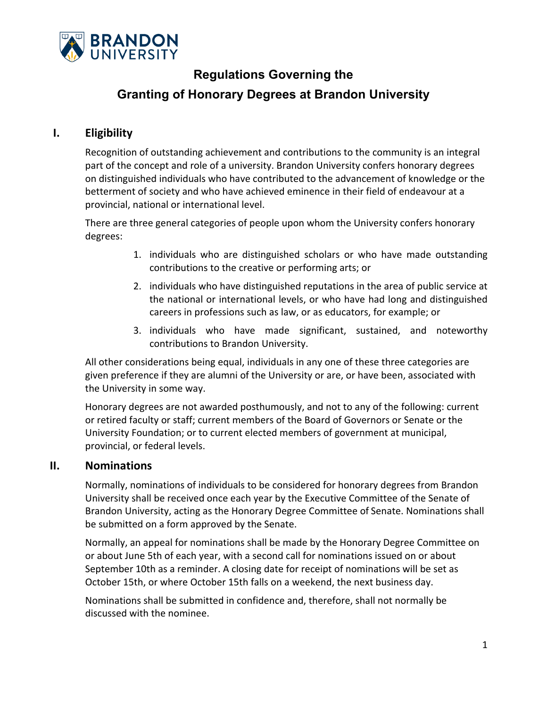

## **Regulations Governing the**

# **Granting of Honorary Degrees at Brandon University**

### **I. Eligibility**

Recognition of outstanding achievement and contributions to the community is an integral part of the concept and role of a university. Brandon University confers honorary degrees on distinguished individuals who have contributed to the advancement of knowledge or the betterment of society and who have achieved eminence in their field of endeavour at a provincial, national or international level.

There are three general categories of people upon whom the University confers honorary degrees:

- 1. individuals who are distinguished scholars or who have made outstanding contributions to the creative or performing arts; or
- 2. individuals who have distinguished reputations in the area of public service at the national or international levels, or who have had long and distinguished careers in professions such as law, or as educators, for example; or
- 3. individuals who have made significant, sustained, and noteworthy contributions to Brandon University.

All other considerations being equal, individuals in any one of these three categories are given preference if they are alumni of the University or are, or have been, associated with the University in some way.

Honorary degrees are not awarded posthumously, and not to any of the following: current or retired faculty or staff; current members of the Board of Governors or Senate or the University Foundation; or to current elected members of government at municipal, provincial, or federal levels.

#### **II. Nominations**

Normally, nominations of individuals to be considered for honorary degrees from Brandon University shall be received once each year by the Executive Committee of the Senate of Brandon University, acting as the Honorary Degree Committee of Senate. Nominations shall be submitted on a form approved by the Senate.

Normally, an appeal for nominations shall be made by the Honorary Degree Committee on or about June 5th of each year, with a second call for nominations issued on or about September 10th as a reminder. A closing date for receipt of nominations will be set as October 15th, or where October 15th falls on a weekend, the next business day.

Nominations shall be submitted in confidence and, therefore, shall not normally be discussed with the nominee.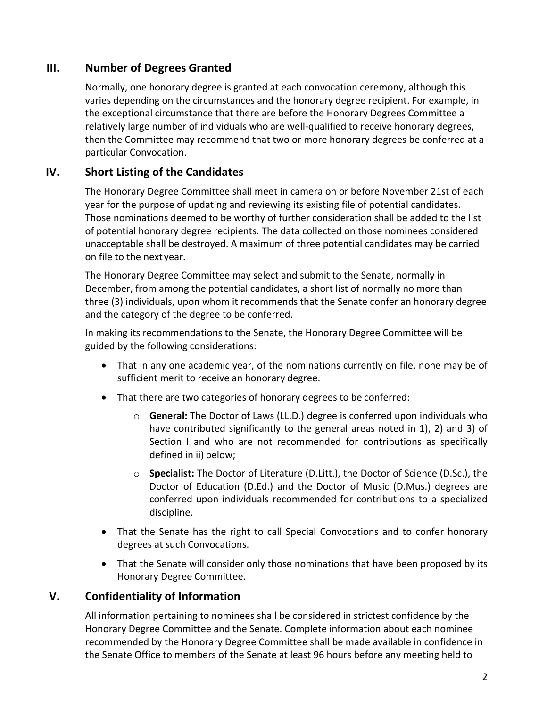### **III. Number of Degrees Granted**

Normally, one honorary degree is granted at each convocation ceremony, although this varies depending on the circumstances and the honorary degree recipient. For example, in the exceptional circumstance that there are before the Honorary Degrees Committee a relatively large number of individuals who are well‐qualified to receive honorary degrees, then the Committee may recommend that two or more honorary degrees be conferred at a particular Convocation.

### **IV. Short Listing of the Candidates**

The Honorary Degree Committee shall meet in camera on or before November 21st of each year for the purpose of updating and reviewing its existing file of potential candidates. Those nominations deemed to be worthy of further consideration shall be added to the list of potential honorary degree recipients. The data collected on those nominees considered unacceptable shall be destroyed. A maximum of three potential candidates may be carried on file to the next year.

The Honorary Degree Committee may select and submit to the Senate, normally in December, from among the potential candidates, a short list of normally no more than three (3) individuals, upon whom it recommends that the Senate confer an honorary degree and the category of the degree to be conferred.

In making its recommendations to the Senate, the Honorary Degree Committee will be guided by the following considerations:

- That in any one academic year, of the nominations currently on file, none may be of sufficient merit to receive an honorary degree.
- That there are two categories of honorary degrees to be conferred:
	- o **General:** The Doctor of Laws (LL.D.) degree is conferred upon individuals who have contributed significantly to the general areas noted in 1), 2) and 3) of Section I and who are not recommended for contributions as specifically defined in ii) below;
	- o **Specialist:** The Doctor of Literature (D.Litt.), the Doctor of Science (D.Sc.), the Doctor of Education (D.Ed.) and the Doctor of Music (D.Mus.) degrees are conferred upon individuals recommended for contributions to a specialized discipline.
- That the Senate has the right to call Special Convocations and to confer honorary degrees at such Convocations.
- That the Senate will consider only those nominations that have been proposed by its Honorary Degree Committee.

#### **V. Confidentiality of Information**

All information pertaining to nominees shall be considered in strictest confidence by the Honorary Degree Committee and the Senate. Complete information about each nominee recommended by the Honorary Degree Committee shall be made available in confidence in the Senate Office to members of the Senate at least 96 hours before any meeting held to